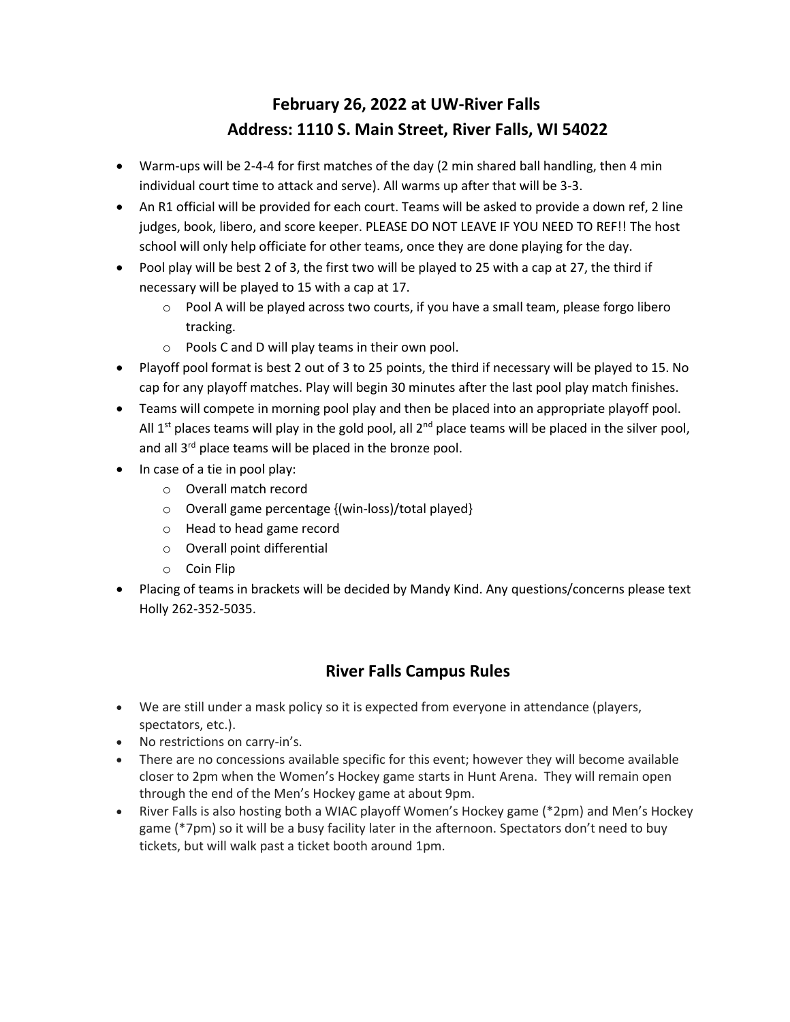## **February 26, 2022 at UW-River Falls Address: 1110 S. Main Street, River Falls, WI 54022**

- Warm-ups will be 2-4-4 for first matches of the day (2 min shared ball handling, then 4 min individual court time to attack and serve). All warms up after that will be 3-3.
- An R1 official will be provided for each court. Teams will be asked to provide a down ref, 2 line judges, book, libero, and score keeper. PLEASE DO NOT LEAVE IF YOU NEED TO REF!! The host school will only help officiate for other teams, once they are done playing for the day.
- Pool play will be best 2 of 3, the first two will be played to 25 with a cap at 27, the third if necessary will be played to 15 with a cap at 17.
	- $\circ$  Pool A will be played across two courts, if you have a small team, please forgo libero tracking.
	- o Pools C and D will play teams in their own pool.
- Playoff pool format is best 2 out of 3 to 25 points, the third if necessary will be played to 15. No cap for any playoff matches. Play will begin 30 minutes after the last pool play match finishes.
- Teams will compete in morning pool play and then be placed into an appropriate playoff pool. All  $1<sup>st</sup>$  places teams will play in the gold pool, all  $2<sup>nd</sup>$  place teams will be placed in the silver pool, and all 3<sup>rd</sup> place teams will be placed in the bronze pool.
- In case of a tie in pool play:
	- o Overall match record
	- o Overall game percentage {(win-loss)/total played}
	- o Head to head game record
	- o Overall point differential
	- o Coin Flip
- Placing of teams in brackets will be decided by Mandy Kind. Any questions/concerns please text Holly 262-352-5035.

## **River Falls Campus Rules**

- We are still under a mask policy so it is expected from everyone in attendance (players, spectators, etc.).
- No restrictions on carry-in's.
- There are no concessions available specific for this event; however they will become available closer to 2pm when the Women's Hockey game starts in Hunt Arena. They will remain open through the end of the Men's Hockey game at about 9pm.
- River Falls is also hosting both a WIAC playoff Women's Hockey game (\*2pm) and Men's Hockey game (\*7pm) so it will be a busy facility later in the afternoon. Spectators don't need to buy tickets, but will walk past a ticket booth around 1pm.